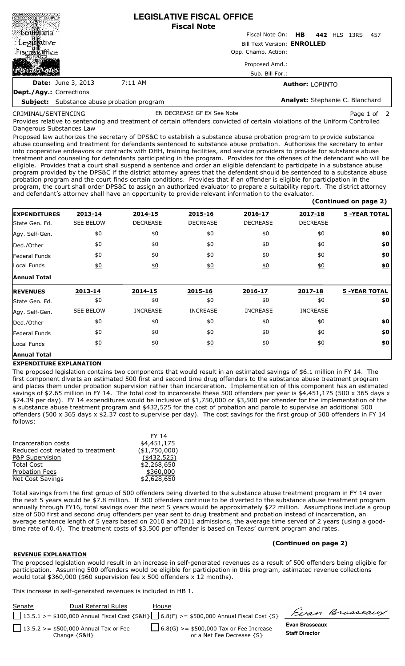|                                                   |         | <b>LEGISLATIVE FISCAL OFFICE</b><br><b>Fiscal Note</b> |
|---------------------------------------------------|---------|--------------------------------------------------------|
|                                                   |         | Fiscal Note On: <b>HB</b><br>442 HLS 13RS<br>-457      |
| ∷ Le∉i‱tivel                                      |         | <b>Bill Text Version: ENROLLED</b>                     |
| Tisca巡ffice.                                      |         | Opp. Chamb. Action:                                    |
|                                                   |         | Proposed Amd.:                                         |
|                                                   |         | Sub. Bill For.:                                        |
| <b>Date:</b> June 3, 2013                         | 7:11 AM | <b>Author: LOPINTO</b>                                 |
| <b>Dept./Agy.: Corrections</b>                    |         |                                                        |
| <b>Subject:</b> Substance abuse probation program |         | Analyst: Stephanie C. Blanchard                        |

CRIMINAL/SENTENCING

EN DECREASE GF EX See Note **Page 1 of 2** Page 1 of 2

 **(Continued on page 2)**

Provides relative to sentencing and treatment of certain offenders convicted of certain violations of the Uniform Controlled Dangerous Substances Law

Proposed law authorizes the secretary of DPS&C to establish a substance abuse probation program to provide substance abuse counseling and treatment for defendants sentenced to substance abuse probation. Authorizes the secretary to enter into cooperative endeavors or contracts with DHH, training facilities, and service providers to provide for substance abuse treatment and counseling for defendants participating in the program. Provides for the offenses of the defendant who will be eligible. Provides that a court shall suspend a sentence and order an eligible defendant to participate in a substance abuse program provided by the DPS&C if the district attorney agrees that the defendant should be sentenced to a substance abuse probation program and the court finds certain conditions. Provides that if an offender is eligible for participation in the program, the court shall order DPS&C to assign an authorized evaluator to prepare a suitability report. The district attorney and defendant's attorney shall have an opportunity to provide relevant information to the evaluator.

| <b>EXPENDITURES</b>  | 2013-14           | 2014-15          | 2015-16          | 2016-17          | 2017-18          | <b>5 -YEAR TOTAL</b> |
|----------------------|-------------------|------------------|------------------|------------------|------------------|----------------------|
| State Gen. Fd.       | <b>SEE BELOW</b>  | <b>DECREASE</b>  | <b>DECREASE</b>  | <b>DECREASE</b>  | <b>DECREASE</b>  |                      |
| Agy. Self-Gen.       | \$0               | \$0              | \$0              | \$0              | \$0              | \$0                  |
| Ded./Other           | \$0               | \$0              | \$0              | \$0              | \$0              | \$0                  |
| <b>Federal Funds</b> | \$0               | \$0              | \$0              | \$0              | \$0              | \$0                  |
| Local Funds          | $\underline{\$0}$ | $\underline{50}$ | $\underline{40}$ | $\underline{50}$ | $\underline{50}$ | <u>\$0</u>           |
| <b>Annual Total</b>  |                   |                  |                  |                  |                  |                      |
| <b>REVENUES</b>      | 2013-14           | 2014-15          | 2015-16          | 2016-17          | 2017-18          | <b>5 -YEAR TOTAL</b> |
| State Gen. Fd.       | \$0               | \$0              | \$0              | \$0              | \$0              | \$0                  |
| Agy. Self-Gen.       | <b>SEE BELOW</b>  | <b>INCREASE</b>  | <b>INCREASE</b>  | <b>INCREASE</b>  | <b>INCREASE</b>  |                      |
| Ded./Other           | \$0               | \$0              | \$0              | \$0              | \$0              | \$0                  |
| Federal Funds        | \$0               | \$0              | \$0              | \$0              | \$0              | \$0                  |
| Local Funds          | \$0               | $\underline{50}$ | $\underline{50}$ | $\underline{50}$ | $\underline{50}$ | <u>\$0</u>           |
| <b>Annual Total</b>  |                   |                  |                  |                  |                  |                      |

## **EXPENDITURE EXPLANATION**

The proposed legislation contains two components that would result in an estimated savings of \$6.1 million in FY 14. The first component diverts an estimated 500 first and second time drug offenders to the substance abuse treatment program and places them under probation supervision rather than incarceration. Implementation of this component has an estimated savings of \$2.65 million in FY 14. The total cost to incarcerate these 500 offenders per year is \$4,451,175 (500 x 365 days x \$24.39 per day). FY 14 expenditures would be inclusive of \$1,750,000 or \$3,500 per offender for the implementation of the a substance abuse treatment program and \$432,525 for the cost of probation and parole to supervise an additional 500 offenders (500 x 365 days x \$2.37 cost to supervise per day). The cost savings for the first group of 500 offenders in FY 14 follows:

|                                   | FY 14          |
|-----------------------------------|----------------|
| Incarceration costs               | \$4,451,175    |
| Reduced cost related to treatment | ( \$1,750,000) |
| P&P Supervision                   | $(*432,525)$   |
| <b>Total Cost</b>                 | \$2,268,650    |
| <b>Probation Fees</b>             | \$360,000      |
| <b>Net Cost Savings</b>           | \$2,628,650    |
|                                   |                |

Total savings from the first group of 500 offenders being diverted to the substance abuse treatment program in FY 14 over the next 5 years would be \$7.8 million. If 500 offenders continue to be diverted to the substance abuse treatment program annually through FY16, total savings over the next 5 years would be approximately \$22 million. Assumptions include a group size of 500 first and second drug offenders per year sent to drug treatment and probation instead of incarceration, an average sentence length of 5 years based on 2010 and 2011 admissions, the average time served of 2 years (using a goodtime rate of 0.4). The treatment costs of \$3,500 per offender is based on Texas' current program and rates.

## **(Continued on page 2)**

## **REVENUE EXPLANATION**

The proposed legislation would result in an increase in self-generated revenues as a result of 500 offenders being eligible for participation. Assuming 500 offenders would be eligible for participation in this program, estimated revenue collections would total \$360,000 (\$60 supervision fee x 500 offenders x 12 months).

This increase in self-generated revenues is included in HB 1.

| Senate | Dual Referral Rules                                        | House                                                                                             |                                         | Evan Brasseaux |
|--------|------------------------------------------------------------|---------------------------------------------------------------------------------------------------|-----------------------------------------|----------------|
|        |                                                            | 13.5.1 >= \$100,000 Annual Fiscal Cost {S&H} $\bigcup$ 6.8(F) >= \$500,000 Annual Fiscal Cost {S} |                                         |                |
|        | 13.5.2 >= \$500,000 Annual Tax or Fee<br>Change $\{S\&H\}$ | $\Box$ 6.8(G) >= \$500,000 Tax or Fee Increase<br>or a Net Fee Decrease {S}                       | Evan Brasseaux<br><b>Staff Director</b> |                |